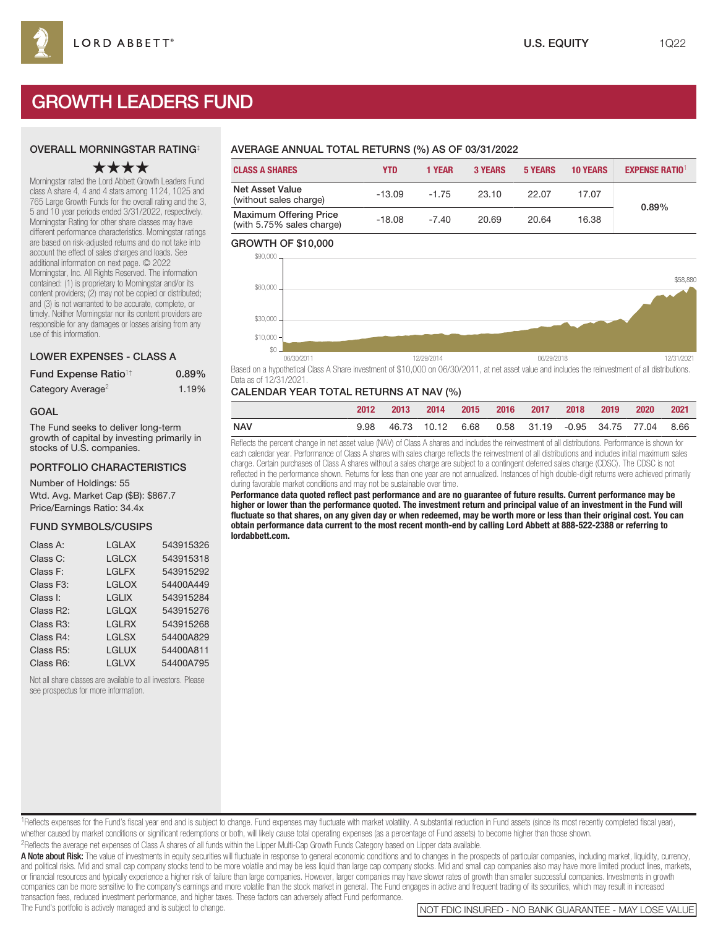# GROWTH LEADERS FUND

## OVERALL MORNINGSTAR RATING‡

# ★★★★

Morningstar rated the Lord Abbett Growth Leaders Fund class A share 4, 4 and 4 stars among 1124, 1025 and 765 Large Growth Funds for the overall rating and the 3, 5 and 10 year periods ended 3/31/2022, respectively. Morningstar Rating for other share classes may have different performance characteristics. Morningstar ratings are based on risk-adjusted returns and do not take into account the effect of sales charges and loads. See additional information on next page. © 2022 Morningstar, Inc. All Rights Reserved. The information contained: (1) is proprietary to Morningstar and/or its content providers; (2) may not be copied or distributed; and (3) is not warranted to be accurate, complete, or timely. Neither Morningstar nor its content providers are responsible for any damages or losses arising from any use of this information.

## LOWER EXPENSES - CLASS A

| Fund Expense Ratio <sup>1†</sup> | $0.89\%$ |
|----------------------------------|----------|
| Category Average <sup>2</sup>    | 1.19%    |

#### GOAL

The Fund seeks to deliver long-term growth of capital by investing primarily in stocks of U.S. companies.

## PORTFOLIO CHARACTERISTICS

Number of Holdings: 55 Wtd. Avg. Market Cap (\$B): \$867.7 Price/Earnings Ratio: 34.4x

## FUND SYMBOLS/CUSIPS

| Class A:               | LGLAX        | 543915326 |
|------------------------|--------------|-----------|
| Class C:               | <b>LGLCX</b> | 543915318 |
| Class F:               | <b>LGLFX</b> | 543915292 |
| Class F <sub>3</sub> : | <b>LGLOX</b> | 54400A449 |
| Class I:               | <b>LGLIX</b> | 543915284 |
| Class R2:              | <b>LGLQX</b> | 543915276 |
| Class R3:              | <b>LGLRX</b> | 543915268 |
| Class R4:              | <b>LGLSX</b> | 54400A829 |
| Class R5:              | <b>LGLUX</b> | 54400A811 |
| Class R6:              | <b>LGLVX</b> | 54400A795 |
|                        |              |           |

Not all share classes are available to all investors. Please see prospectus for more information.

# AVERAGE ANNUAL TOTAL RETURNS (%) AS OF 03/31/2022

| <b>CLASS A SHARES</b>                                      | YTD      | <b>1 YEAR</b> | <b>3 YEARS</b> | <b>5 YEARS</b> | <b>10 YEARS</b> | <b>EXPENSE RATIO1</b> |
|------------------------------------------------------------|----------|---------------|----------------|----------------|-----------------|-----------------------|
| <b>Net Asset Value</b><br>(without sales charge)           | $-13.09$ | $-1.75$       | 23.10          | 22.07          | 17.07           | 0.89%                 |
| <b>Maximum Offering Price</b><br>(with 5.75% sales charge) | $-18.08$ | $-7.40$       | 20.69          | 20.64          | 16.38           |                       |

#### GROWTH OF \$10,000



Based on a hypothetical Class A Share investment of \$10,000 on 06/30/2011, at net asset value and includes the reinvestment of all distributions. Data as of 12/31/2021.

## CALENDAR YEAR TOTAL RETURNS AT NAV (%)

|     | 2012 |  |  | 2013 2014 2015 2016 2017 2018 2019 2020 2021       |  |  |
|-----|------|--|--|----------------------------------------------------|--|--|
| NAV | 9.98 |  |  | 46.73 10.12 6.68 0.58 31.19 -0.95 34.75 77.04 8.66 |  |  |

Reflects the percent change in net asset value (NAV) of Class A shares and includes the reinvestment of all distributions. Performance is shown for each calendar year. Performance of Class A shares with sales charge reflects the reinvestment of all distributions and includes initial maximum sales charge. Certain purchases of Class A shares without a sales charge are subject to a contingent deferred sales charge (CDSC). The CDSC is not reflected in the performance shown. Returns for less than one year are not annualized. Instances of high double-digit returns were achieved primarily during favorable market conditions and may not be sustainable over time.

**Performance data quoted reflect past performance and are no guarantee of future results. Current performance may be higher or lower than the performance quoted. The investment return and principal value of an investment in the Fund will fluctuate so that shares, on any given day or when redeemed, may be worth more or less than their original cost. You can obtain performance data current to the most recent month-end by calling Lord Abbett at 888-522-2388 or referring to lordabbett.com.**

<sup>1</sup>Reflects expenses for the Fund's fiscal year end and is subject to change. Fund expenses may fluctuate with market volatility. A substantial reduction in Fund assets (since its most recently completed fiscal year), whether caused by market conditions or significant redemptions or both, will likely cause total operating expenses (as a percentage of Fund assets) to become higher than those shown.

2Reflects the average net expenses of Class A shares of all funds within the Lipper Multi-Cap Growth Funds Category based on Lipper data available.

A Note about Risk: The value of investments in equity securities will fluctuate in response to general economic conditions and to changes in the prospects of particular companies, including market, liquidity, currency, and political risks. Mid and small cap company stocks tend to be more volatile and may be less liquid than large cap company stocks. Mid and small cap companies also may have more limited product lines, markets, or financial resources and typically experience a higher risk of failure than large companies. However, larger companies may have slower rates of growth than smaller successful companies. Investments in growth companies can be more sensitive to the company's earnings and more volatile than the stock market in general. The Fund engages in active and frequent trading of its securities, which may result in increased transaction fees, reduced investment performance, and higher taxes. These factors can adversely affect Fund performance.